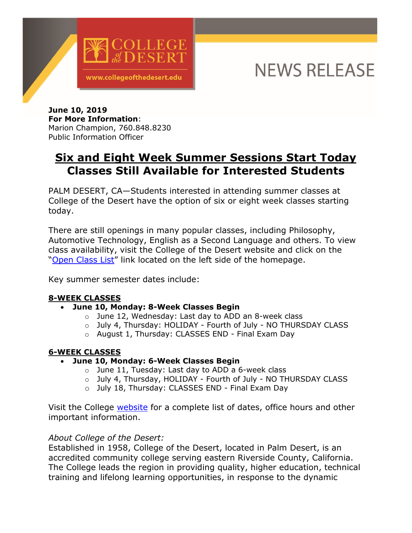

# **NEWS RELEASE**

**June 10, 2019 For More Information**: Marion Champion, 760.848.8230 Public Information Officer

# **Six and Eight Week Summer Sessions Start Today Classes Still Available for Interested Students**

PALM DESERT, CA—Students interested in attending summer classes at College of the Desert have the option of six or eight week classes starting today.

There are still openings in many popular classes, including Philosophy, Automotive Technology, English as a Second Language and others. To view class availability, visit the College of the Desert website and click on the ["Open Class List"](http://www.collegeofthedesert.edu/informer/OpenClasses/availablecourses.html) link located on the left side of the homepage.

Key summer semester dates include:

#### **8-WEEK CLASSES**

- **June 10, Monday: 8-Week Classes Begin** 
	- o June 12, Wednesday: Last day to ADD an 8-week class
	- o July 4, Thursday: HOLIDAY Fourth of July NO THURSDAY CLASS
	- o August 1, Thursday: CLASSES END Final Exam Day

## **6-WEEK CLASSES**

- **June 10, Monday: 6-Week Classes Begin** 
	- $\circ$  June 11, Tuesday: Last day to ADD a 6-week class
	- o July 4, Thursday, HOLIDAY Fourth of July NO THURSDAY CLASS
	- o July 18, Thursday: CLASSES END Final Exam Day

Visit the College [website](http://www.collegeofthedesert.edu/) for a complete list of dates, office hours and other important information.

## *About College of the Desert:*

Established in 1958, College of the Desert, located in Palm Desert, is an accredited community college serving eastern Riverside County, California. The College leads the region in providing quality, higher education, technical training and lifelong learning opportunities, in response to the dynamic